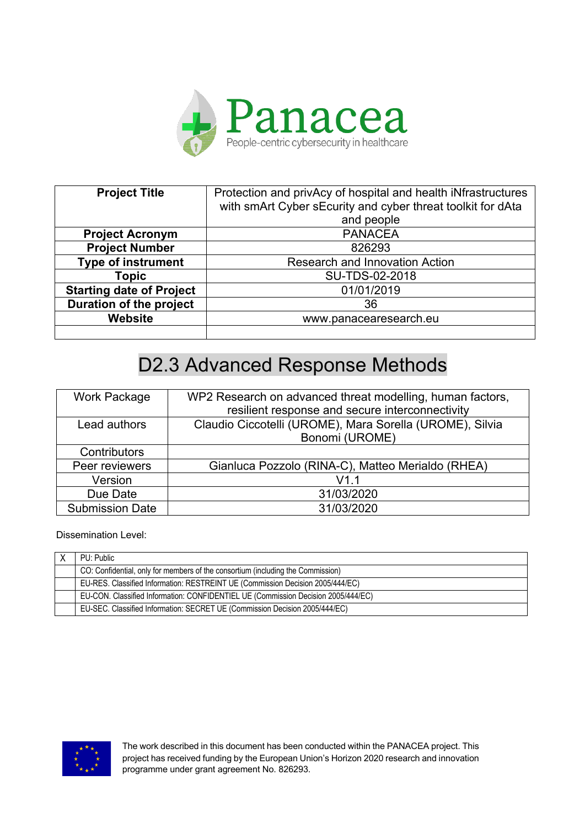

| <b>Project Title</b>            | Protection and privAcy of hospital and health iNfrastructures<br>with smArt Cyber sEcurity and cyber threat toolkit for dAta |
|---------------------------------|------------------------------------------------------------------------------------------------------------------------------|
|                                 | and people                                                                                                                   |
| <b>Project Acronym</b>          | <b>PANACEA</b>                                                                                                               |
| <b>Project Number</b>           | 826293                                                                                                                       |
| <b>Type of instrument</b>       | <b>Research and Innovation Action</b>                                                                                        |
| Topic                           | SU-TDS-02-2018                                                                                                               |
| <b>Starting date of Project</b> | 01/01/2019                                                                                                                   |
| <b>Duration of the project</b>  | 36                                                                                                                           |
| <b>Website</b>                  | www.panacearesearch.eu                                                                                                       |
|                                 |                                                                                                                              |

| Work Package           | WP2 Research on advanced threat modelling, human factors,<br>resilient response and secure interconnectivity |
|------------------------|--------------------------------------------------------------------------------------------------------------|
| Lead authors           | Claudio Ciccotelli (UROME), Mara Sorella (UROME), Silvia<br>Bonomi (UROME)                                   |
| Contributors           |                                                                                                              |
| Peer reviewers         | Gianluca Pozzolo (RINA-C), Matteo Merialdo (RHEA)                                                            |
| Version                | V1.1                                                                                                         |
| Due Date               | 31/03/2020                                                                                                   |
| <b>Submission Date</b> | 31/03/2020                                                                                                   |

Dissemination Level:

| PU: Public                                                                        |
|-----------------------------------------------------------------------------------|
| CO: Confidential, only for members of the consortium (including the Commission)   |
| EU-RES. Classified Information: RESTREINT UE (Commission Decision 2005/444/EC)    |
| EU-CON. Classified Information: CONFIDENTIEL UE (Commission Decision 2005/444/EC) |
| EU-SEC. Classified Information: SECRET UE (Commission Decision 2005/444/EC)       |



The work described in this document has been conducted within the PANACEA project. This project has received funding by the European Union's Horizon 2020 research and innovation programme under grant agreement No. 826293.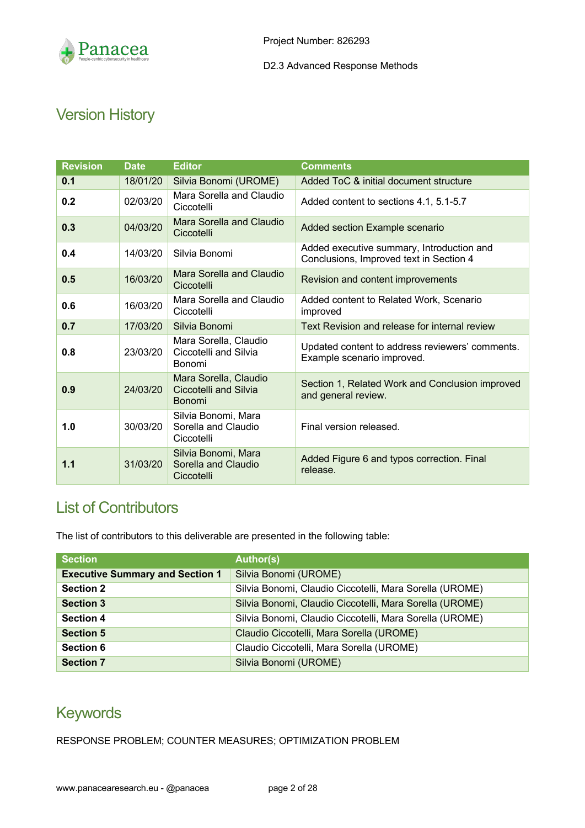

# Version History

| <b>Revision</b> | <b>Date</b> | <b>Editor</b>                                                          | <b>Comments</b>                                                                      |
|-----------------|-------------|------------------------------------------------------------------------|--------------------------------------------------------------------------------------|
| 0.1             | 18/01/20    | Silvia Bonomi (UROME)                                                  | Added ToC & initial document structure                                               |
| 0.2             | 02/03/20    | Mara Sorella and Claudio<br>Ciccotelli                                 | Added content to sections 4.1, 5.1-5.7                                               |
| 0.3             | 04/03/20    | Mara Sorella and Claudio<br>Ciccotelli                                 | Added section Example scenario                                                       |
| 0.4             | 14/03/20    | Silvia Bonomi                                                          | Added executive summary, Introduction and<br>Conclusions, Improved text in Section 4 |
| 0.5             | 16/03/20    | Mara Sorella and Claudio<br>Ciccotelli                                 | Revision and content improvements                                                    |
| 0.6             | 16/03/20    | Mara Sorella and Claudio<br>Ciccotelli                                 | Added content to Related Work, Scenario<br>improved                                  |
| 0.7             | 17/03/20    | Silvia Bonomi                                                          | Text Revision and release for internal review                                        |
| 0.8             | 23/03/20    | Mara Sorella, Claudio<br>Ciccotelli and Silvia<br>Bonomi               | Updated content to address reviewers' comments.<br>Example scenario improved.        |
| 0.9             | 24/03/20    | Mara Sorella, Claudio<br><b>Ciccotelli and Silvia</b><br><b>Bonomi</b> | Section 1, Related Work and Conclusion improved<br>and general review.               |
| 1.0             | 30/03/20    | Silvia Bonomi, Mara<br>Sorella and Claudio<br>Ciccotelli               | Final version released.                                                              |
| 1.1             | 31/03/20    | Silvia Bonomi, Mara<br>Sorella and Claudio<br>Ciccotelli               | Added Figure 6 and typos correction. Final<br>release.                               |

## List of Contributors

The list of contributors to this deliverable are presented in the following table:

| <b>Section</b>                         | <b>Author(s)</b>                                        |
|----------------------------------------|---------------------------------------------------------|
| <b>Executive Summary and Section 1</b> | Silvia Bonomi (UROME)                                   |
| <b>Section 2</b>                       | Silvia Bonomi, Claudio Ciccotelli, Mara Sorella (UROME) |
| <b>Section 3</b>                       | Silvia Bonomi, Claudio Ciccotelli, Mara Sorella (UROME) |
| <b>Section 4</b>                       | Silvia Bonomi, Claudio Ciccotelli, Mara Sorella (UROME) |
| <b>Section 5</b>                       | Claudio Ciccotelli, Mara Sorella (UROME)                |
| <b>Section 6</b>                       | Claudio Ciccotelli, Mara Sorella (UROME)                |
| <b>Section 7</b>                       | Silvia Bonomi (UROME)                                   |

## Keywords

RESPONSE PROBLEM; COUNTER MEASURES; OPTIMIZATION PROBLEM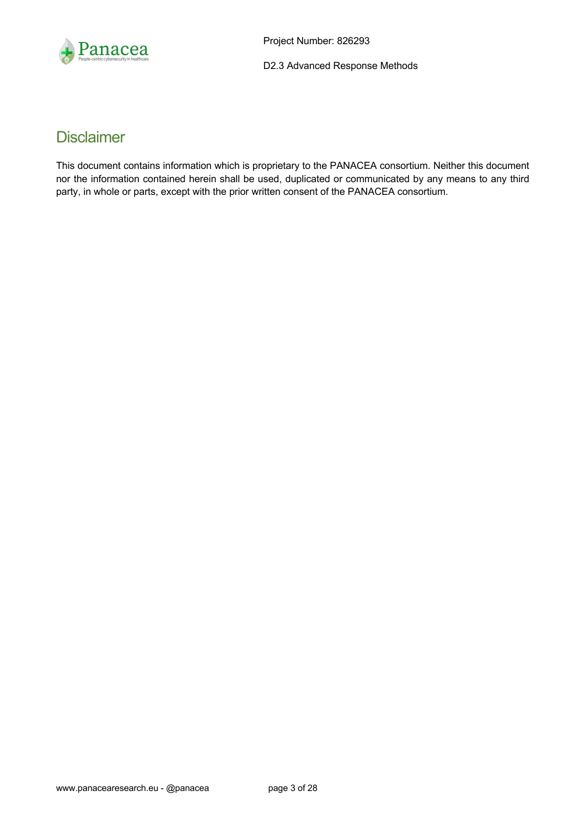

## **Disclaimer**

This document contains information which is proprietary to the PANACEA consortium. Neither this document nor the information contained herein shall be used, duplicated or communicated by any means to any third party, in whole or parts, except with the prior written consent of the PANACEA consortium.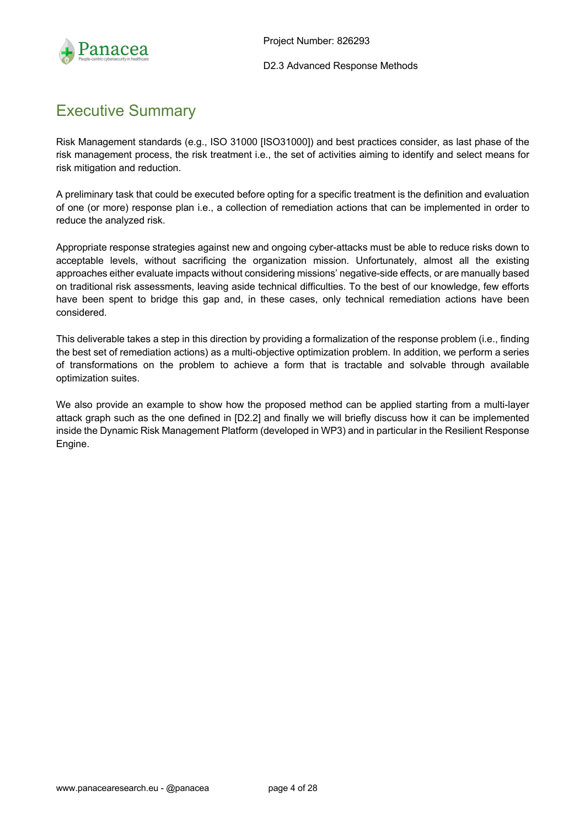

## Executive Summary

Risk Management standards (e.g., ISO 31000 [ISO31000]) and best practices consider, as last phase of the risk management process, the risk treatment i.e., the set of activities aiming to identify and select means for risk mitigation and reduction.

A preliminary task that could be executed before opting for a specific treatment is the definition and evaluation of one (or more) response plan i.e., a collection of remediation actions that can be implemented in order to reduce the analyzed risk.

Appropriate response strategies against new and ongoing cyber-attacks must be able to reduce risks down to acceptable levels, without sacrificing the organization mission. Unfortunately, almost all the existing approaches either evaluate impacts without considering missions' negative-side effects, or are manually based on traditional risk assessments, leaving aside technical difficulties. To the best of our knowledge, few efforts have been spent to bridge this gap and, in these cases, only technical remediation actions have been considered.

This deliverable takes a step in this direction by providing a formalization of the response problem (i.e., finding the best set of remediation actions) as a multi-objective optimization problem. In addition, we perform a series of transformations on the problem to achieve a form that is tractable and solvable through available optimization suites.

We also provide an example to show how the proposed method can be applied starting from a multi-layer attack graph such as the one defined in [D2.2] and finally we will briefly discuss how it can be implemented inside the Dynamic Risk Management Platform (developed in WP3) and in particular in the Resilient Response Engine.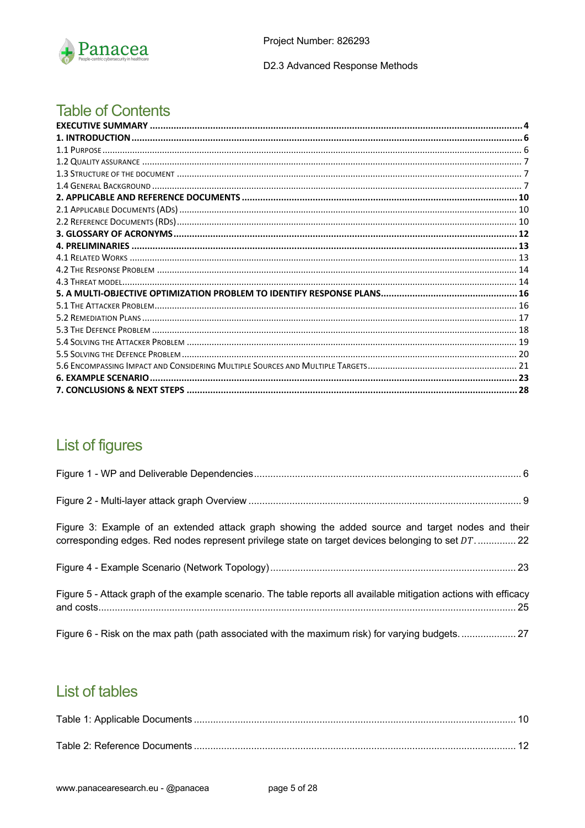

## **Table of Contents**

# List of figures

| Figure 3: Example of an extended attack graph showing the added source and target nodes and their<br>corresponding edges. Red nodes represent privilege state on target devices belonging to set DT 22 |  |
|--------------------------------------------------------------------------------------------------------------------------------------------------------------------------------------------------------|--|
|                                                                                                                                                                                                        |  |
| Figure 5 - Attack graph of the example scenario. The table reports all available mitigation actions with efficacy                                                                                      |  |
|                                                                                                                                                                                                        |  |

# **List of tables**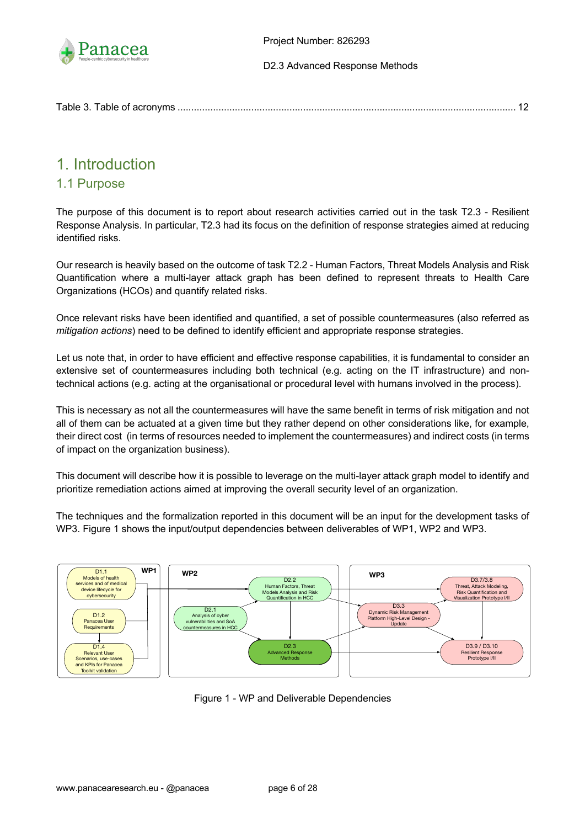

|--|

## 1. Introduction

### 1.1 Purpose

The purpose of this document is to report about research activities carried out in the task T2.3 - Resilient Response Analysis. In particular, T2.3 had its focus on the definition of response strategies aimed at reducing identified risks.

Our research is heavily based on the outcome of task T2.2 - Human Factors, Threat Models Analysis and Risk Quantification where a multi-layer attack graph has been defined to represent threats to Health Care Organizations (HCOs) and quantify related risks.

Once relevant risks have been identified and quantified, a set of possible countermeasures (also referred as *mitigation actions*) need to be defined to identify efficient and appropriate response strategies.

Let us note that, in order to have efficient and effective response capabilities, it is fundamental to consider an extensive set of countermeasures including both technical (e.g. acting on the IT infrastructure) and nontechnical actions (e.g. acting at the organisational or procedural level with humans involved in the process).

This is necessary as not all the countermeasures will have the same benefit in terms of risk mitigation and not all of them can be actuated at a given time but they rather depend on other considerations like, for example, their direct cost (in terms of resources needed to implement the countermeasures) and indirect costs (in terms of impact on the organization business).

This document will describe how it is possible to leverage on the multi-layer attack graph model to identify and prioritize remediation actions aimed at improving the overall security level of an organization.

The techniques and the formalization reported in this document will be an input for the development tasks of WP3. Figure 1 shows the input/output dependencies between deliverables of WP1, WP2 and WP3.



Figure 1 - WP and Deliverable Dependencies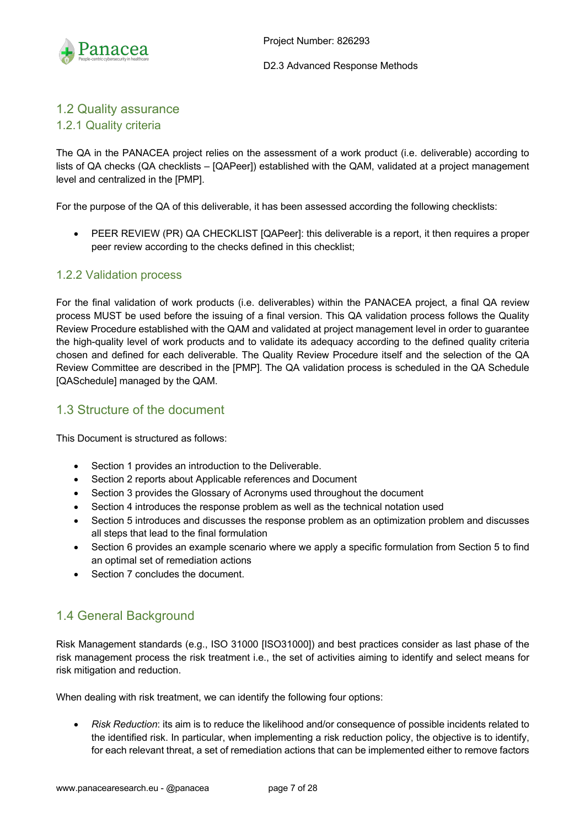

## 1.2 Quality assurance

#### 1.2.1 Quality criteria

The QA in the PANACEA project relies on the assessment of a work product (i.e. deliverable) according to lists of QA checks (QA checklists – [QAPeer]) established with the QAM, validated at a project management level and centralized in the [PMP].

For the purpose of the QA of this deliverable, it has been assessed according the following checklists:

• PEER REVIEW (PR) QA CHECKLIST [QAPeer]: this deliverable is a report, it then requires a proper peer review according to the checks defined in this checklist;

#### 1.2.2 Validation process

For the final validation of work products (i.e. deliverables) within the PANACEA project, a final QA review process MUST be used before the issuing of a final version. This QA validation process follows the Quality Review Procedure established with the QAM and validated at project management level in order to guarantee the high-quality level of work products and to validate its adequacy according to the defined quality criteria chosen and defined for each deliverable. The Quality Review Procedure itself and the selection of the QA Review Committee are described in the [PMP]. The QA validation process is scheduled in the QA Schedule [QASchedule] managed by the QAM.

### 1.3 Structure of the document

This Document is structured as follows:

- Section 1 provides an introduction to the Deliverable.
- Section 2 reports about Applicable references and Document
- Section 3 provides the Glossary of Acronyms used throughout the document
- Section 4 introduces the response problem as well as the technical notation used
- Section 5 introduces and discusses the response problem as an optimization problem and discusses all steps that lead to the final formulation
- Section 6 provides an example scenario where we apply a specific formulation from Section 5 to find an optimal set of remediation actions
- Section 7 concludes the document.

### 1.4 General Background

Risk Management standards (e.g., ISO 31000 [ISO31000]) and best practices consider as last phase of the risk management process the risk treatment i.e., the set of activities aiming to identify and select means for risk mitigation and reduction.

When dealing with risk treatment, we can identify the following four options:

• *Risk Reduction*: its aim is to reduce the likelihood and/or consequence of possible incidents related to the identified risk. In particular, when implementing a risk reduction policy, the objective is to identify, for each relevant threat, a set of remediation actions that can be implemented either to remove factors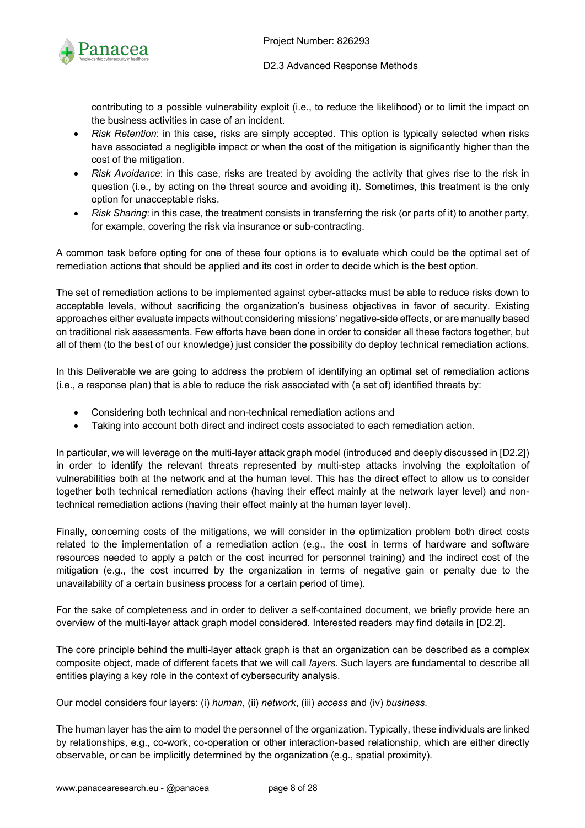contributing to a possible vulnerability exploit (i.e., to reduce the likelihood) or to limit the impact on the business activities in case of an incident.

- *Risk Retention*: in this case, risks are simply accepted. This option is typically selected when risks have associated a negligible impact or when the cost of the mitigation is significantly higher than the cost of the mitigation.
- *Risk Avoidance*: in this case, risks are treated by avoiding the activity that gives rise to the risk in question (i.e., by acting on the threat source and avoiding it). Sometimes, this treatment is the only option for unacceptable risks.
- *Risk Sharing*: in this case, the treatment consists in transferring the risk (or parts of it) to another party, for example, covering the risk via insurance or sub-contracting.

A common task before opting for one of these four options is to evaluate which could be the optimal set of remediation actions that should be applied and its cost in order to decide which is the best option.

The set of remediation actions to be implemented against cyber-attacks must be able to reduce risks down to acceptable levels, without sacrificing the organization's business objectives in favor of security. Existing approaches either evaluate impacts without considering missions' negative-side effects, or are manually based on traditional risk assessments. Few efforts have been done in order to consider all these factors together, but all of them (to the best of our knowledge) just consider the possibility do deploy technical remediation actions.

In this Deliverable we are going to address the problem of identifying an optimal set of remediation actions (i.e., a response plan) that is able to reduce the risk associated with (a set of) identified threats by:

- Considering both technical and non-technical remediation actions and
- Taking into account both direct and indirect costs associated to each remediation action.

In particular, we will leverage on the multi-layer attack graph model (introduced and deeply discussed in [D2.2]) in order to identify the relevant threats represented by multi-step attacks involving the exploitation of vulnerabilities both at the network and at the human level. This has the direct effect to allow us to consider together both technical remediation actions (having their effect mainly at the network layer level) and nontechnical remediation actions (having their effect mainly at the human layer level).

Finally, concerning costs of the mitigations, we will consider in the optimization problem both direct costs related to the implementation of a remediation action (e.g., the cost in terms of hardware and software resources needed to apply a patch or the cost incurred for personnel training) and the indirect cost of the mitigation (e.g., the cost incurred by the organization in terms of negative gain or penalty due to the unavailability of a certain business process for a certain period of time).

For the sake of completeness and in order to deliver a self-contained document, we briefly provide here an overview of the multi-layer attack graph model considered. Interested readers may find details in [D2.2].

The core principle behind the multi-layer attack graph is that an organization can be described as a complex composite object, made of different facets that we will call *layers*. Such layers are fundamental to describe all entities playing a key role in the context of cybersecurity analysis.

Our model considers four layers: (i) *human*, (ii) *network*, (iii) *access* and (iv) *business*.

The human layer has the aim to model the personnel of the organization. Typically, these individuals are linked by relationships, e.g., co-work, co-operation or other interaction-based relationship, which are either directly observable, or can be implicitly determined by the organization (e.g., spatial proximity).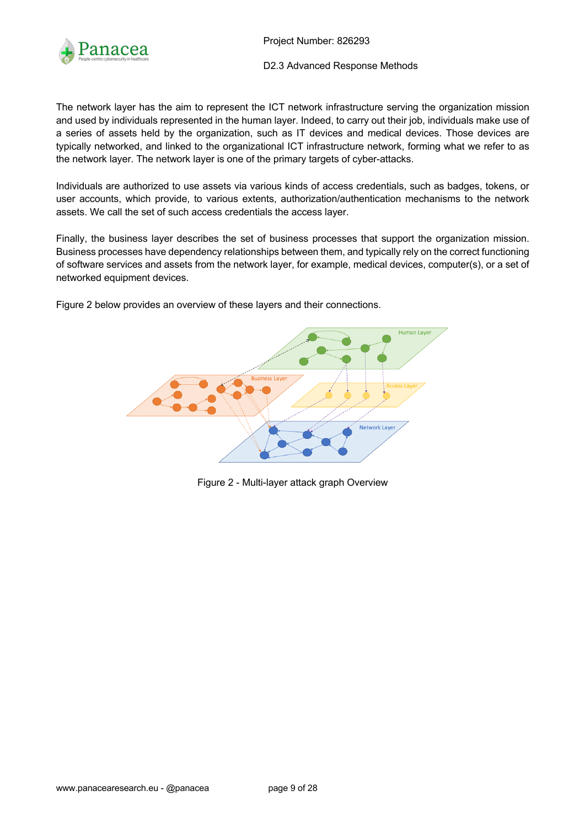

Project Number: 826293

D2.3 Advanced Response Methods

The network layer has the aim to represent the ICT network infrastructure serving the organization mission and used by individuals represented in the human layer. Indeed, to carry out their job, individuals make use of a series of assets held by the organization, such as IT devices and medical devices. Those devices are typically networked, and linked to the organizational ICT infrastructure network, forming what we refer to as the network layer. The network layer is one of the primary targets of cyber-attacks.

Individuals are authorized to use assets via various kinds of access credentials, such as badges, tokens, or user accounts, which provide, to various extents, authorization/authentication mechanisms to the network assets. We call the set of such access credentials the access layer.

Finally, the business layer describes the set of business processes that support the organization mission. Business processes have dependency relationships between them, and typically rely on the correct functioning of software services and assets from the network layer, for example, medical devices, computer(s), or a set of networked equipment devices.

Figure 2 below provides an overview of these layers and their connections.



Figure 2 - Multi-layer attack graph Overview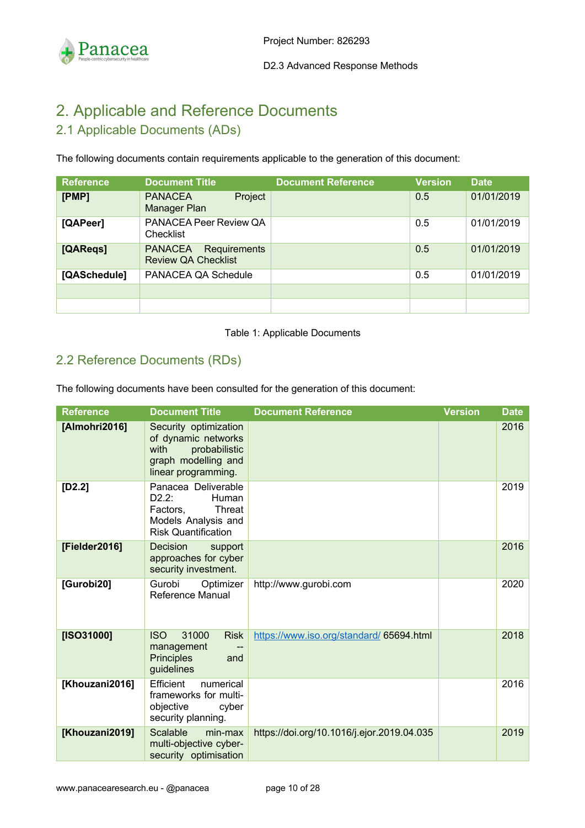

# 2. Applicable and Reference Documents

## 2.1 Applicable Documents (ADs)

The following documents contain requirements applicable to the generation of this document:

| <b>Reference</b> | <b>Document Title</b>                                        | <b>Document Reference</b> | <b>Version</b> | <b>Date</b> |
|------------------|--------------------------------------------------------------|---------------------------|----------------|-------------|
| [PMP]            | Project<br><b>PANACEA</b><br>Manager Plan                    |                           | 0.5            | 01/01/2019  |
| [QAPeer]         | PANACEA Peer Review QA<br>Checklist                          |                           | 0.5            | 01/01/2019  |
| [QAReqs]         | <b>PANACEA</b><br>Requirements<br><b>Review QA Checklist</b> |                           | 0.5            | 01/01/2019  |
| [QASchedule]     | PANACEA QA Schedule                                          |                           | 0.5            | 01/01/2019  |
|                  |                                                              |                           |                |             |
|                  |                                                              |                           |                |             |

#### Table 1: Applicable Documents

## 2.2 Reference Documents (RDs)

The following documents have been consulted for the generation of this document:

| <b>Reference</b> | <b>Document Title</b>                                                                                                   | <b>Document Reference</b>                  | <b>Version</b> | <b>Date</b> |
|------------------|-------------------------------------------------------------------------------------------------------------------------|--------------------------------------------|----------------|-------------|
| [Almohri2016]    | Security optimization<br>of dynamic networks<br>with<br>probabilistic<br>graph modelling and<br>linear programming.     |                                            |                | 2016        |
| $[D2.2]$         | Panacea Deliverable<br>D2.2:<br>Human<br><b>Threat</b><br>Factors,<br>Models Analysis and<br><b>Risk Quantification</b> |                                            |                | 2019        |
| [Fielder2016]    | Decision<br>support<br>approaches for cyber<br>security investment.                                                     |                                            |                | 2016        |
| [Gurobi20]       | Gurobi<br>Optimizer<br>Reference Manual                                                                                 | http://www.gurobi.com                      |                | 2020        |
| [ISO31000]       | 31000<br><b>Risk</b><br><b>ISO</b><br>management<br><b>Principles</b><br>and<br>guidelines                              | https://www.iso.org/standard/ 65694.html   |                | 2018        |
| [Khouzani2016]   | Efficient<br>numerical<br>frameworks for multi-<br>objective<br>cyber<br>security planning.                             |                                            |                | 2016        |
| [Khouzani2019]   | Scalable<br>min-max<br>multi-objective cyber-<br>security optimisation                                                  | https://doi.org/10.1016/j.ejor.2019.04.035 |                | 2019        |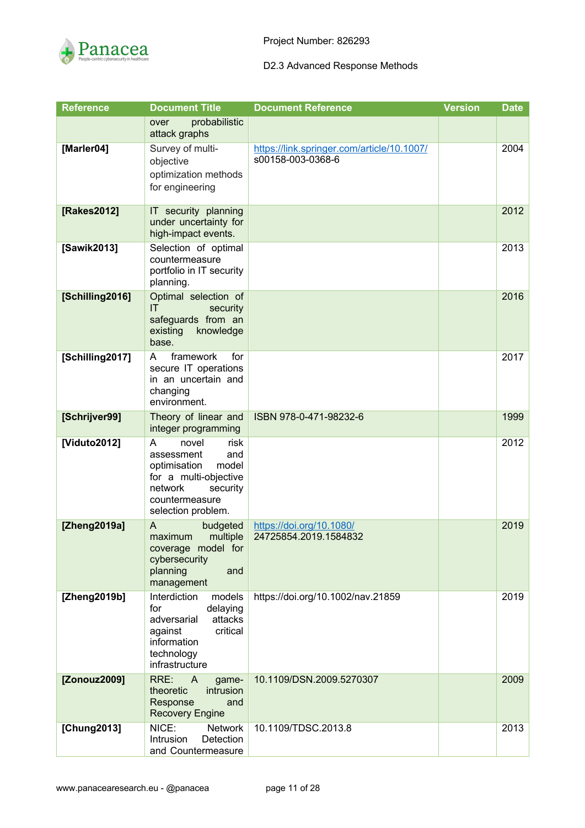

| <b>Reference</b> | <b>Document Title</b>                                                                                                                                    | <b>Document Reference</b>                                       | <b>Version</b> | <b>Date</b> |
|------------------|----------------------------------------------------------------------------------------------------------------------------------------------------------|-----------------------------------------------------------------|----------------|-------------|
|                  | probabilistic<br>over<br>attack graphs                                                                                                                   |                                                                 |                |             |
| [Marler04]       | Survey of multi-<br>objective<br>optimization methods<br>for engineering                                                                                 | https://link.springer.com/article/10.1007/<br>s00158-003-0368-6 |                | 2004        |
| [Rakes2012]      | IT security planning<br>under uncertainty for<br>high-impact events.                                                                                     |                                                                 |                | 2012        |
| [Sawik2013]      | Selection of optimal<br>countermeasure<br>portfolio in IT security<br>planning.                                                                          |                                                                 |                | 2013        |
| [Schilling2016]  | Optimal selection of<br>IT<br>security<br>safeguards from an<br>knowledge<br>existing<br>base.                                                           |                                                                 |                | 2016        |
| [Schilling2017]  | framework<br>for<br>A<br>secure IT operations<br>in an uncertain and<br>changing<br>environment.                                                         |                                                                 |                | 2017        |
| [Schrijver99]    | Theory of linear and<br>integer programming                                                                                                              | ISBN 978-0-471-98232-6                                          |                | 1999        |
| [Viduto2012]     | risk<br>A<br>novel<br>assessment<br>and<br>optimisation<br>model<br>for a multi-objective<br>network<br>security<br>countermeasure<br>selection problem. |                                                                 |                | 2012        |
| [Zheng2019a]     | A<br>budgeted<br>multiple<br>maximum<br>coverage model for<br>cybersecurity<br>planning<br>and<br>management                                             | https://doi.org/10.1080/<br>24725854.2019.1584832               |                | 2019        |
| [Zheng2019b]     | Interdiction<br>models<br>delaying<br>for<br>attacks<br>adversarial<br>critical<br>against<br>information<br>technology<br>infrastructure                | https://doi.org/10.1002/nav.21859                               |                | 2019        |
| [Zonouz2009]     | RRE:<br>$\overline{A}$<br>game-<br>theoretic<br>intrusion<br>Response<br>and<br><b>Recovery Engine</b>                                                   | 10.1109/DSN.2009.5270307                                        |                | 2009        |
| [Chung2013]      | NICE:<br><b>Network</b><br><b>Intrusion</b><br>Detection<br>and Countermeasure                                                                           | 10.1109/TDSC.2013.8                                             |                | 2013        |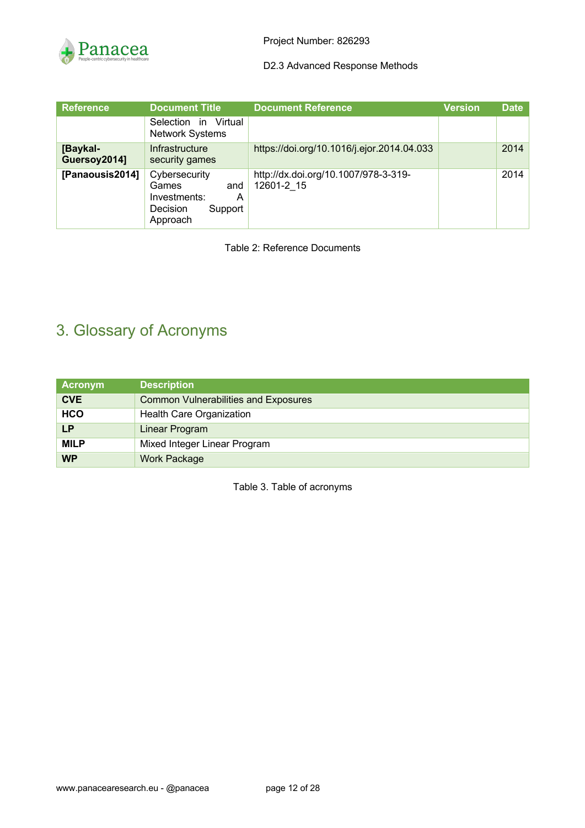

| <b>Reference</b>         | <b>Document Title</b>                                                                        | <b>Document Reference</b>                          | <b>Version</b> | <b>Date</b> |
|--------------------------|----------------------------------------------------------------------------------------------|----------------------------------------------------|----------------|-------------|
|                          | Selection in<br>Virtual<br><b>Network Systems</b>                                            |                                                    |                |             |
| [Baykal-<br>Guersoy2014] | Infrastructure<br>security games                                                             | https://doi.org/10.1016/j.ejor.2014.04.033         |                | 2014        |
| [Panaousis2014]          | Cybersecurity<br>Games<br>and<br>Investments:<br>A<br><b>Decision</b><br>Support<br>Approach | http://dx.doi.org/10.1007/978-3-319-<br>12601-2 15 |                | 2014        |

Table 2: Reference Documents

# 3. Glossary of Acronyms

| Acronym     | <b>Description</b>                          |  |  |  |
|-------------|---------------------------------------------|--|--|--|
| <b>CVE</b>  | <b>Common Vulnerabilities and Exposures</b> |  |  |  |
| <b>HCO</b>  | Health Care Organization                    |  |  |  |
| LP          | Linear Program                              |  |  |  |
| <b>MILP</b> | Mixed Integer Linear Program                |  |  |  |
| <b>WP</b>   | <b>Work Package</b>                         |  |  |  |

Table 3. Table of acronyms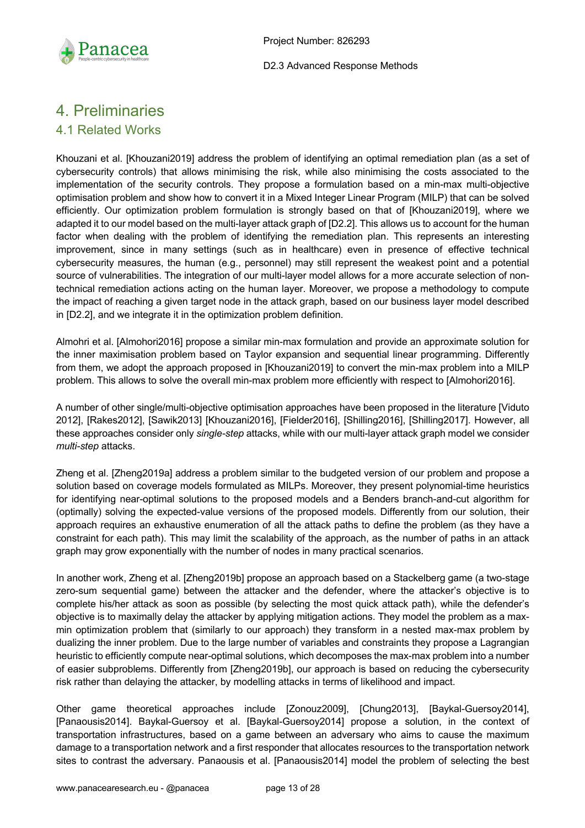

## 4. Preliminaries

### 4.1 Related Works

Khouzani et al. [Khouzani2019] address the problem of identifying an optimal remediation plan (as a set of cybersecurity controls) that allows minimising the risk, while also minimising the costs associated to the implementation of the security controls. They propose a formulation based on a min-max multi-objective optimisation problem and show how to convert it in a Mixed Integer Linear Program (MILP) that can be solved efficiently. Our optimization problem formulation is strongly based on that of [Khouzani2019], where we adapted it to our model based on the multi-layer attack graph of [D2.2]. This allows us to account for the human factor when dealing with the problem of identifying the remediation plan. This represents an interesting improvement, since in many settings (such as in healthcare) even in presence of effective technical cybersecurity measures, the human (e.g., personnel) may still represent the weakest point and a potential source of vulnerabilities. The integration of our multi-layer model allows for a more accurate selection of nontechnical remediation actions acting on the human layer. Moreover, we propose a methodology to compute the impact of reaching a given target node in the attack graph, based on our business layer model described in [D2.2], and we integrate it in the optimization problem definition.

Almohri et al. [Almohori2016] propose a similar min-max formulation and provide an approximate solution for the inner maximisation problem based on Taylor expansion and sequential linear programming. Differently from them, we adopt the approach proposed in [Khouzani2019] to convert the min-max problem into a MILP problem. This allows to solve the overall min-max problem more efficiently with respect to [Almohori2016].

A number of other single/multi-objective optimisation approaches have been proposed in the literature [Viduto 2012], [Rakes2012], [Sawik2013] [Khouzani2016], [Fielder2016], [Shilling2016], [Shilling2017]. However, all these approaches consider only *single-step* attacks, while with our multi-layer attack graph model we consider *multi-step* attacks.

Zheng et al. [Zheng2019a] address a problem similar to the budgeted version of our problem and propose a solution based on coverage models formulated as MILPs. Moreover, they present polynomial-time heuristics for identifying near-optimal solutions to the proposed models and a Benders branch-and-cut algorithm for (optimally) solving the expected-value versions of the proposed models. Differently from our solution, their approach requires an exhaustive enumeration of all the attack paths to define the problem (as they have a constraint for each path). This may limit the scalability of the approach, as the number of paths in an attack graph may grow exponentially with the number of nodes in many practical scenarios.

In another work, Zheng et al. [Zheng2019b] propose an approach based on a Stackelberg game (a two-stage zero-sum sequential game) between the attacker and the defender, where the attacker's objective is to complete his/her attack as soon as possible (by selecting the most quick attack path), while the defender's objective is to maximally delay the attacker by applying mitigation actions. They model the problem as a maxmin optimization problem that (similarly to our approach) they transform in a nested max-max problem by dualizing the inner problem. Due to the large number of variables and constraints they propose a Lagrangian heuristic to efficiently compute near-optimal solutions, which decomposes the max-max problem into a number of easier subproblems. Differently from [Zheng2019b], our approach is based on reducing the cybersecurity risk rather than delaying the attacker, by modelling attacks in terms of likelihood and impact.

Other game theoretical approaches include [Zonouz2009], [Chung2013], [Baykal-Guersoy2014], [Panaousis2014]. Baykal-Guersoy et al. [Baykal-Guersoy2014] propose a solution, in the context of transportation infrastructures, based on a game between an adversary who aims to cause the maximum damage to a transportation network and a first responder that allocates resources to the transportation network sites to contrast the adversary. Panaousis et al. [Panaousis2014] model the problem of selecting the best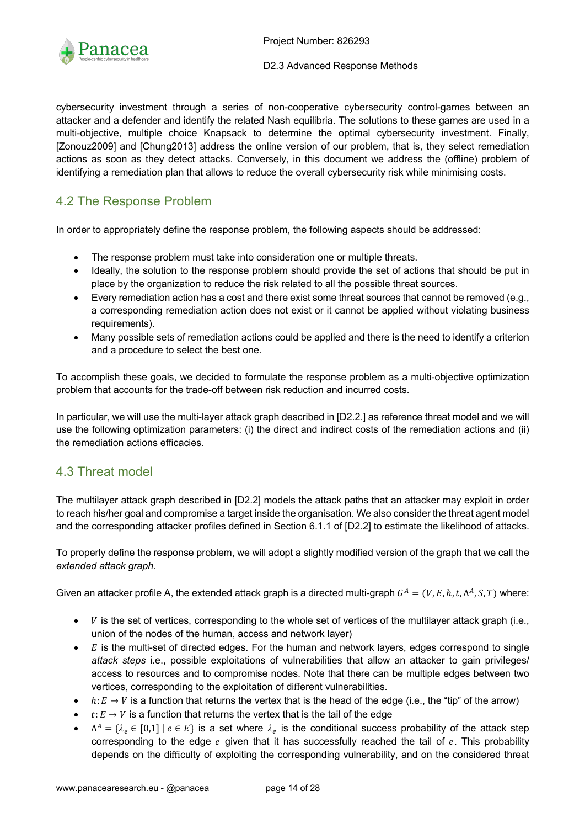

cybersecurity investment through a series of non-cooperative cybersecurity control-games between an attacker and a defender and identify the related Nash equilibria. The solutions to these games are used in a multi-objective, multiple choice Knapsack to determine the optimal cybersecurity investment. Finally, [Zonouz2009] and [Chung2013] address the online version of our problem, that is, they select remediation actions as soon as they detect attacks. Conversely, in this document we address the (offline) problem of identifying a remediation plan that allows to reduce the overall cybersecurity risk while minimising costs.

## 4.2 The Response Problem

In order to appropriately define the response problem, the following aspects should be addressed:

- The response problem must take into consideration one or multiple threats.
- Ideally, the solution to the response problem should provide the set of actions that should be put in place by the organization to reduce the risk related to all the possible threat sources.
- Every remediation action has a cost and there exist some threat sources that cannot be removed (e.g., a corresponding remediation action does not exist or it cannot be applied without violating business requirements).
- Many possible sets of remediation actions could be applied and there is the need to identify a criterion and a procedure to select the best one.

To accomplish these goals, we decided to formulate the response problem as a multi-objective optimization problem that accounts for the trade-off between risk reduction and incurred costs.

In particular, we will use the multi-layer attack graph described in [D2.2.] as reference threat model and we will use the following optimization parameters: (i) the direct and indirect costs of the remediation actions and (ii) the remediation actions efficacies.

### 4.3 Threat model

The multilayer attack graph described in [D2.2] models the attack paths that an attacker may exploit in order to reach his/her goal and compromise a target inside the organisation. We also consider the threat agent model and the corresponding attacker profiles defined in Section 6.1.1 of [D2.2] to estimate the likelihood of attacks.

To properly define the response problem, we will adopt a slightly modified version of the graph that we call the *extended attack graph.*

Given an attacker profile A, the extended attack graph is a directed multi-graph  $G^A = (V, E, h, t, \Lambda^A, S, T)$  where:

- $\bullet$  *V* is the set of vertices, corresponding to the whole set of vertices of the multilayer attack graph (i.e., union of the nodes of the human, access and network layer)
- $\bullet$   $E$  is the multi-set of directed edges. For the human and network layers, edges correspond to single *attack steps* i.e., possible exploitations of vulnerabilities that allow an attacker to gain privileges/ access to resources and to compromise nodes. Note that there can be multiple edges between two vertices, corresponding to the exploitation of different vulnerabilities.
- $h: E \to V$  is a function that returns the vertex that is the head of the edge (i.e., the "tip" of the arrow)
- $t: E \to V$  is a function that returns the vertex that is the tail of the edge
- $\Lambda^A = \{\lambda_e \in [0,1] \mid e \in E\}$  is a set where  $\lambda_e$  is the conditional success probability of the attack step corresponding to the edge  $e$  given that it has successfully reached the tail of  $e$ . This probability depends on the difficulty of exploiting the corresponding vulnerability, and on the considered threat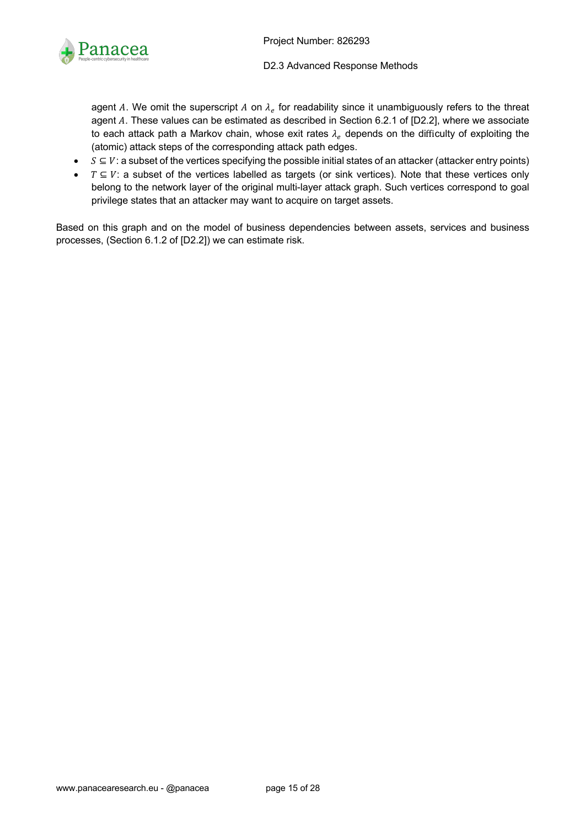

agent A. We omit the superscript A on  $\lambda_e$  for readability since it unambiguously refers to the threat agent A. These values can be estimated as described in Section 6.2.1 of [D2.2], where we associate to each attack path a Markov chain, whose exit rates  $\lambda_e$  depends on the difficulty of exploiting the (atomic) attack steps of the corresponding attack path edges.

- $S \subseteq V$ : a subset of the vertices specifying the possible initial states of an attacker (attacker entry points)
- $T \subseteq V$ : a subset of the vertices labelled as targets (or sink vertices). Note that these vertices only belong to the network layer of the original multi-layer attack graph. Such vertices correspond to goal privilege states that an attacker may want to acquire on target assets.

Based on this graph and on the model of business dependencies between assets, services and business processes, (Section 6.1.2 of [D2.2]) we can estimate risk.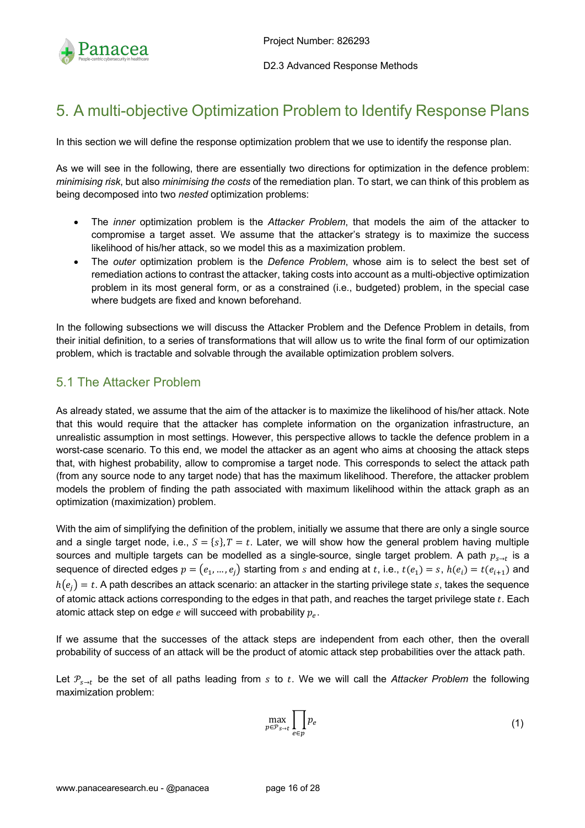

## 5. A multi-objective Optimization Problem to Identify Response Plans

In this section we will define the response optimization problem that we use to identify the response plan.

As we will see in the following, there are essentially two directions for optimization in the defence problem: *minimising risk*, but also *minimising the costs* of the remediation plan. To start, we can think of this problem as being decomposed into two *nested* optimization problems:

- The *inner* optimization problem is the *Attacker Problem*, that models the aim of the attacker to compromise a target asset. We assume that the attacker's strategy is to maximize the success likelihood of his/her attack, so we model this as a maximization problem.
- The *outer* optimization problem is the *Defence Problem*, whose aim is to select the best set of remediation actions to contrast the attacker, taking costs into account as a multi-objective optimization problem in its most general form, or as a constrained (i.e., budgeted) problem, in the special case where budgets are fixed and known beforehand.

In the following subsections we will discuss the Attacker Problem and the Defence Problem in details, from their initial definition, to a series of transformations that will allow us to write the final form of our optimization problem, which is tractable and solvable through the available optimization problem solvers.

### 5.1 The Attacker Problem

As already stated, we assume that the aim of the attacker is to maximize the likelihood of his/her attack. Note that this would require that the attacker has complete information on the organization infrastructure, an unrealistic assumption in most settings. However, this perspective allows to tackle the defence problem in a worst-case scenario. To this end, we model the attacker as an agent who aims at choosing the attack steps that, with highest probability, allow to compromise a target node. This corresponds to select the attack path (from any source node to any target node) that has the maximum likelihood. Therefore, the attacker problem models the problem of finding the path associated with maximum likelihood within the attack graph as an optimization (maximization) problem.

With the aim of simplifying the definition of the problem, initially we assume that there are only a single source and a single target node, i.e.,  $S = \{s\}$ ,  $T = t$ . Later, we will show how the general problem having multiple sources and multiple targets can be modelled as a single-source, single target problem. A path  $p_{s \to t}$  is a sequence of directed edges  $p = (e_1, ..., e_i)$  starting from s and ending at t, i.e.,  $t(e_1) = s$ ,  $h(e_i) = t(e_{i+1})$  and  $h(e_i) = t$ . A path describes an attack scenario: an attacker in the starting privilege state s, takes the sequence of atomic attack actions corresponding to the edges in that path, and reaches the target privilege state  $t$ . Each atomic attack step on edge  $e$  will succeed with probability  $p_e$ .

If we assume that the successes of the attack steps are independent from each other, then the overall probability of success of an attack will be the product of atomic attack step probabilities over the attack path.

Let  $P_{s\to t}$  be the set of all paths leading from s to t. We we will call the *Attacker Problem* the following maximization problem:

$$
\max_{p \in \mathcal{P}_{S \to t}} \prod_{e \in p} p_e \tag{1}
$$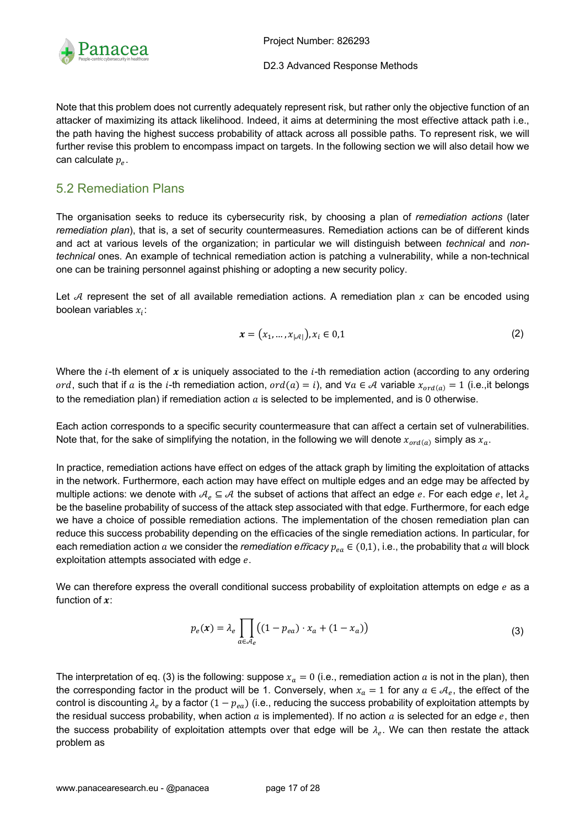

Note that this problem does not currently adequately represent risk, but rather only the objective function of an attacker of maximizing its attack likelihood. Indeed, it aims at determining the most effective attack path i.e., the path having the highest success probability of attack across all possible paths. To represent risk, we will further revise this problem to encompass impact on targets. In the following section we will also detail how we can calculate  $p_e$ .

### 5.2 Remediation Plans

The organisation seeks to reduce its cybersecurity risk, by choosing a plan of *remediation actions* (later *remediation plan*), that is, a set of security countermeasures. Remediation actions can be of different kinds and act at various levels of the organization; in particular we will distinguish between *technical* and *nontechnical* ones. An example of technical remediation action is patching a vulnerability, while a non-technical one can be training personnel against phishing or adopting a new security policy.

Let  $A$  represent the set of all available remediation actions. A remediation plan  $x$  can be encoded using boolean variables  $x_i$ :

$$
x = (x_1, ..., x_{|\mathcal{A}|}), x_i \in 0, 1
$$
 (2)

Where the  $i$ -th element of x is uniquely associated to the  $i$ -th remediation action (according to any ordering ord, such that if a is the i-th remediation action,  $ord(a) = i$ , and ∀a ∈ A variable  $x_{ord(a)} = 1$  (i.e.,it belongs to the remediation plan) if remediation action  $a$  is selected to be implemented, and is 0 otherwise.

Each action corresponds to a specific security countermeasure that can affect a certain set of vulnerabilities. Note that, for the sake of simplifying the notation, in the following we will denote  $x_{\text{ord}(a)}$  simply as  $x_a$ .

In practice, remediation actions have effect on edges of the attack graph by limiting the exploitation of attacks in the network. Furthermore, each action may have effect on multiple edges and an edge may be affected by multiple actions: we denote with  $A_e \subseteq A$  the subset of actions that affect an edge e. For each edge e, let  $\lambda_e$ be the baseline probability of success of the attack step associated with that edge. Furthermore, for each edge we have a choice of possible remediation actions. The implementation of the chosen remediation plan can reduce this success probability depending on the efficacies of the single remediation actions. In particular, for each remediation action a we consider the *remediation efficacy*  $p_{ea} \in (0,1)$ , i.e., the probability that a will block exploitation attempts associated with edge  $e$ .

We can therefore express the overall conditional success probability of exploitation attempts on edge e as a function of  $x$ :

$$
p_e(\mathbf{x}) = \lambda_e \prod_{a \in \mathcal{A}_e} \left( (1 - p_{ea}) \cdot x_a + (1 - x_a) \right) \tag{3}
$$

The interpretation of eq. (3) is the following: suppose  $x_a = 0$  (i.e., remediation action a is not in the plan), then the corresponding factor in the product will be 1. Conversely, when  $x_a = 1$  for any  $a \in A_e$ , the effect of the control is discounting  $\lambda_e$  by a factor  $(1 - p_{ea})$  (i.e., reducing the success probability of exploitation attempts by the residual success probability, when action  $a$  is implemented). If no action  $a$  is selected for an edge  $e$ , then the success probability of exploitation attempts over that edge will be  $\lambda_e$ . We can then restate the attack problem as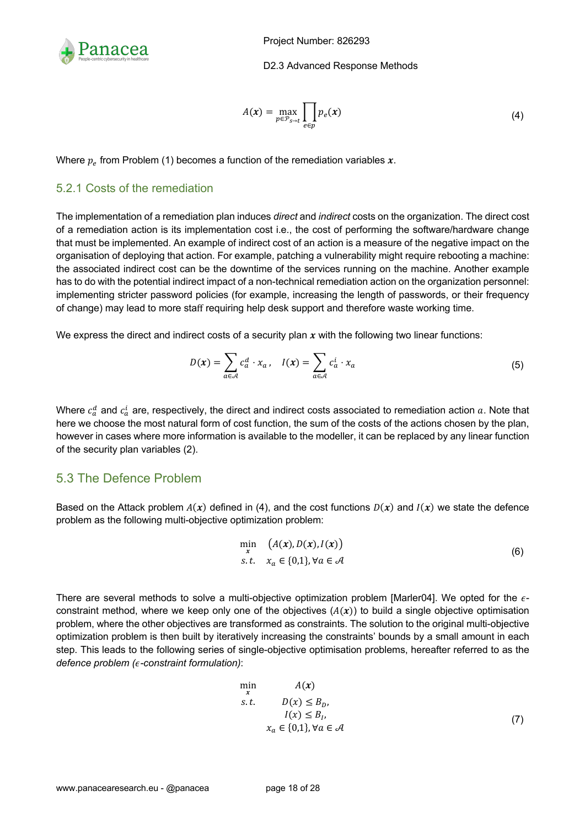

$$
A(\mathbf{x}) = \max_{p \in \mathcal{P}_{S \to t}} \prod_{e \in p} p_e(\mathbf{x})
$$
\n(4)

Where  $p_e$  from Problem (1) becomes a function of the remediation variables x.

#### 5.2.1 Costs of the remediation

The implementation of a remediation plan induces *direct* and *indirect* costs on the organization. The direct cost of a remediation action is its implementation cost i.e., the cost of performing the software/hardware change that must be implemented. An example of indirect cost of an action is a measure of the negative impact on the organisation of deploying that action. For example, patching a vulnerability might require rebooting a machine: the associated indirect cost can be the downtime of the services running on the machine. Another example has to do with the potential indirect impact of a non-technical remediation action on the organization personnel: implementing stricter password policies (for example, increasing the length of passwords, or their frequency of change) may lead to more staff requiring help desk support and therefore waste working time.

We express the direct and indirect costs of a security plan  $x$  with the following two linear functions:

$$
D(\mathbf{x}) = \sum_{a \in \mathcal{A}} c_a^d \cdot x_a, \quad I(\mathbf{x}) = \sum_{a \in \mathcal{A}} c_a^i \cdot x_a \tag{5}
$$

Where  $c_a^d$  and  $c_a^i$  are, respectively, the direct and indirect costs associated to remediation action  $a$ . Note that here we choose the most natural form of cost function, the sum of the costs of the actions chosen by the plan, however in cases where more information is available to the modeller, it can be replaced by any linear function of the security plan variables (2).

### 5.3 The Defence Problem

Based on the Attack problem  $A(x)$  defined in (4), and the cost functions  $D(x)$  and  $I(x)$  we state the defence problem as the following multi-objective optimization problem:

$$
\min_{\mathbf{x}} \quad (A(\mathbf{x}), D(\mathbf{x}), I(\mathbf{x}))
$$
\n
$$
\text{s.t.} \quad x_a \in \{0, 1\}, \forall a \in \mathcal{A} \tag{6}
$$

There are several methods to solve a multi-objective optimization problem [Marler04]. We opted for the  $\epsilon$ constraint method, where we keep only one of the objectives  $(A(x))$  to build a single objective optimisation problem, where the other objectives are transformed as constraints. The solution to the original multi-objective optimization problem is then built by iteratively increasing the constraints' bounds by a small amount in each step. This leads to the following series of single-objective optimisation problems, hereafter referred to as the *defence problem (-constraint formulation)*:

$$
\min_{x} \qquad A(x)
$$
\n
$$
s.t. \qquad D(x) \leq B_D, \qquad I(x) \leq B_I, \qquad I(x) \leq B_I, \qquad (7)
$$
\n
$$
x_a \in \{0,1\}, \forall a \in \mathcal{A}
$$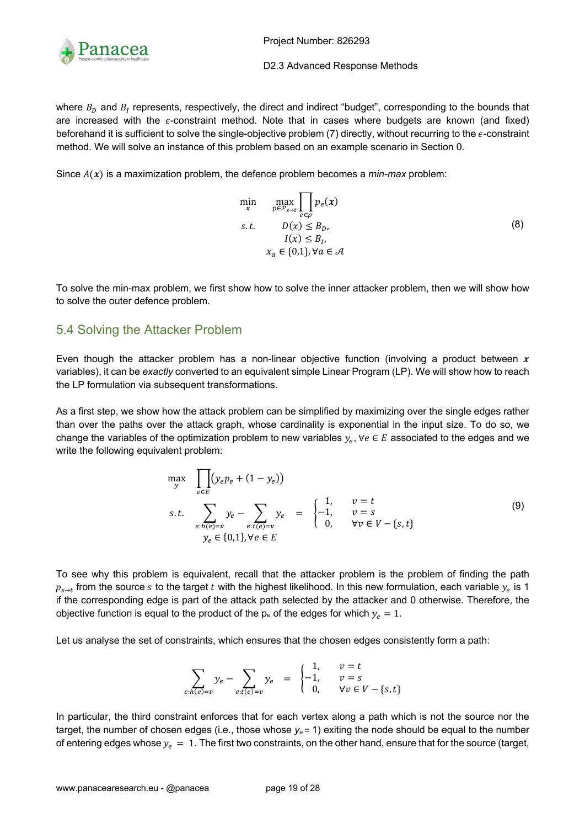

Project Number: 826293

D2.3 Advanced Response Methods

where  $B<sub>D</sub>$  and  $B<sub>I</sub>$  represents, respectively, the direct and indirect "budget", corresponding to the bounds that are increased with the  $\epsilon$ -constraint method. Note that in cases where budgets are known (and fixed) beforehand it is sufficient to solve the single-objective problem  $(7)$  directly, without recurring to the  $\epsilon$ -constraint method. We will solve an instance of this problem based on an example scenario in Section 0.

Since  $A(x)$  is a maximization problem, the defence problem becomes a *min-max* problem:

$$
\min_{\mathbf{x}} \max_{p \in \mathcal{P}_{S \to t}} \prod_{e \in p} p_e(\mathbf{x})
$$
\n
$$
s.t. \quad D(\mathbf{x}) \leq B_D, \quad I(\mathbf{x}) \leq B_I, \quad \mathbf{x}_a \in \{0, 1\}, \forall a \in \mathcal{A}
$$
\n
$$
(8)
$$

To solve the min-max problem, we first show how to solve the inner attacker problem, then we will show how to solve the outer defence problem.

### 5.4 Solving the Attacker Problem

Even though the attacker problem has a non-linear objective function (involving a product between  $x$ variables), it can be *exactly* converted to an equivalent simple Linear Program (LP). We will show how to reach the LP formulation via subsequent transformations.

As a first step, we show how the attack problem can be simplified by maximizing over the single edges rather than over the paths over the attack graph, whose cardinality is exponential in the input size. To do so, we change the variables of the optimization problem to new variables  $y_e$ ,  $\forall e \in E$  associated to the edges and we write the following equivalent problem:

$$
\max_{y} \prod_{e \in E} (y_e p_e + (1 - y_e))
$$
\n
$$
s.t. \sum_{e:h(e)=v} y_e - \sum_{e:t(e)=v} y_e = \begin{cases} 1, & v = t \\ -1, & v = s \\ 0, & \forall v \in V - \{s, t\} \end{cases}
$$
\n
$$
(9)
$$
\n
$$
y_e \in \{0,1\}, \forall e \in E
$$

To see why this problem is equivalent, recall that the attacker problem is the problem of finding the path  $p_{s \to t}$  from the source s to the target t with the highest likelihood. In this new formulation, each variable  $y_e$  is 1 if the corresponding edge is part of the attack path selected by the attacker and 0 otherwise. Therefore, the objective function is equal to the product of the  $p_e$  of the edges for which  $y_e = 1$ .

Let us analyse the set of constraints, which ensures that the chosen edges consistently form a path:

$$
\sum_{e:h(e)=v} y_e - \sum_{e:t(e)=v} y_e = \begin{cases} 1, & v=t \\ -1, & v=s \\ 0, & \forall v \in V-\{s,t\} \end{cases}
$$

In particular, the third constraint enforces that for each vertex along a path which is not the source nor the target, the number of chosen edges (i.e., those whose  $y_e = 1$ ) exiting the node should be equal to the number of entering edges whose  $y_e = 1$ . The first two constraints, on the other hand, ensure that for the source (target,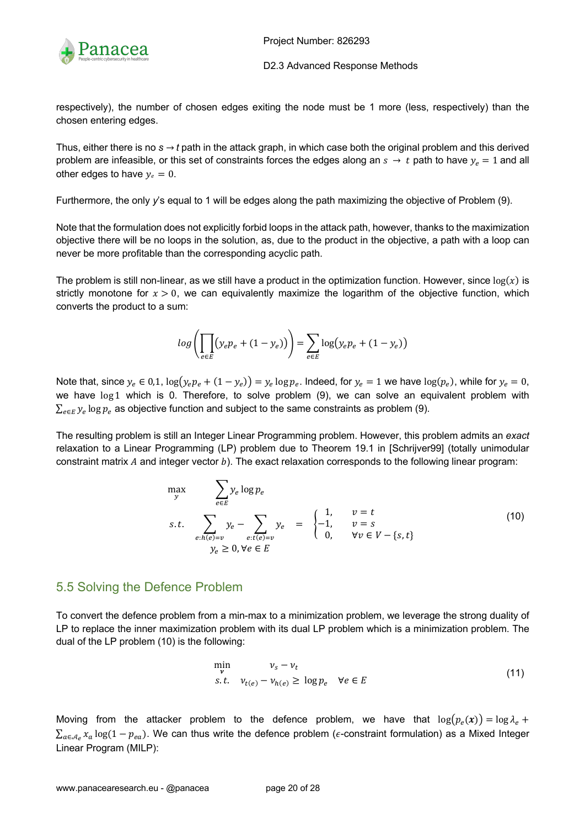

respectively), the number of chosen edges exiting the node must be 1 more (less, respectively) than the chosen entering edges.

Thus, either there is no  $s \rightarrow t$  path in the attack graph, in which case both the original problem and this derived problem are infeasible, or this set of constraints forces the edges along an  $s \to t$  path to have  $y_e = 1$  and all other edges to have  $y_e = 0$ .

Furthermore, the only *y*'s equal to 1 will be edges along the path maximizing the objective of Problem (9).

Note that the formulation does not explicitly forbid loops in the attack path, however, thanks to the maximization objective there will be no loops in the solution, as, due to the product in the objective, a path with a loop can never be more profitable than the corresponding acyclic path.

The problem is still non-linear, as we still have a product in the optimization function. However, since  $log(x)$  is strictly monotone for  $x > 0$ , we can equivalently maximize the logarithm of the objective function, which converts the product to a sum:

$$
log\left(\prod_{e \in E} (y_e p_e + (1 - y_e))\right) = \sum_{e \in E} log(y_e p_e + (1 - y_e))
$$

Note that, since  $y_e \in 0.1$ ,  $\log(y_e p_e + (1 - y_e)) = y_e \log p_e$ . Indeed, for  $y_e = 1$  we have  $\log(p_e)$ , while for  $y_e = 0$ , we have log 1 which is 0. Therefore, to solve problem (9), we can solve an equivalent problem with  $\sum_{e \in E} y_e \log p_e$  as objective function and subject to the same constraints as problem (9).

The resulting problem is still an Integer Linear Programming problem. However, this problem admits an *exact* relaxation to a Linear Programming (LP) problem due to Theorem 19.1 in [Schrijver99] (totally unimodular constraint matrix  $A$  and integer vector  $b$ ). The exact relaxation corresponds to the following linear program:

$$
\max_{y} \sum_{e \in E} y_e \log p_e
$$
\n
$$
s.t. \sum_{e:h(e)=v} y_e - \sum_{e:t(e)=v} y_e = \begin{cases} 1, & v=t \\ -1, & v=s \\ 0, & \forall v \in V-\{s,t\} \end{cases}
$$
\n
$$
y_e \ge 0, \forall e \in E
$$
\n(10)

### 5.5 Solving the Defence Problem

To convert the defence problem from a min-max to a minimization problem, we leverage the strong duality of LP to replace the inner maximization problem with its dual LP problem which is a minimization problem. The dual of the LP problem (10) is the following:

$$
\min_{\mathbf{v}} \quad \nu_{s} - \nu_{t} \ns.t. \quad \nu_{t(e)} - \nu_{h(e)} \ge \log p_{e} \quad \forall e \in E
$$
\n(11)

Moving from the attacker problem to the defence problem, we have that  $\log(p_e(x)) = \log \lambda_e +$  $\sum_{a\in\mathcal{A}_e}x_a\log(1-p_{ea})$ . We can thus write the defence problem ( $\epsilon$ -constraint formulation) as a Mixed Integer Linear Program (MILP):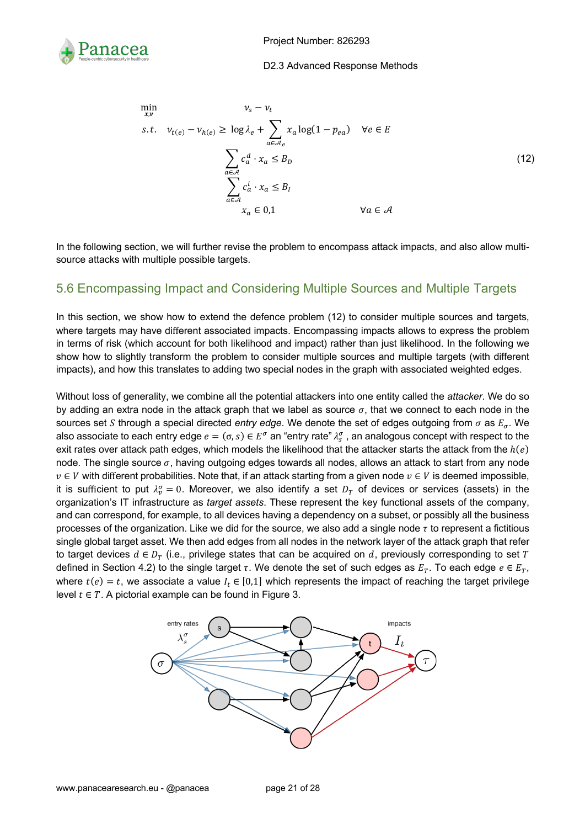

$$
\min_{x,v} \qquad v_s - v_t
$$
\ns.t.  $v_{t(e)} - v_{h(e)} \ge \log \lambda_e + \sum_{a \in \mathcal{A}_e} x_a \log(1 - p_{ea}) \quad \forall e \in E$ \n
$$
\sum_{a \in \mathcal{A}} c_a^d \cdot x_a \le B_D
$$
\n
$$
\sum_{a \in \mathcal{A}} c_a^i \cdot x_a \le B_I
$$
\n
$$
x_a \in 0,1 \qquad \forall a \in \mathcal{A}
$$
\n(12)

In the following section, we will further revise the problem to encompass attack impacts, and also allow multisource attacks with multiple possible targets.

### 5.6 Encompassing Impact and Considering Multiple Sources and Multiple Targets

In this section, we show how to extend the defence problem (12) to consider multiple sources and targets, where targets may have different associated impacts. Encompassing impacts allows to express the problem in terms of risk (which account for both likelihood and impact) rather than just likelihood. In the following we show how to slightly transform the problem to consider multiple sources and multiple targets (with different impacts), and how this translates to adding two special nodes in the graph with associated weighted edges.

Without loss of generality, we combine all the potential attackers into one entity called the *attacker*. We do so by adding an extra node in the attack graph that we label as source  $\sigma$ , that we connect to each node in the sources set S through a special directed *entry edge*. We denote the set of edges outgoing from  $\sigma$  as  $E_{\sigma}$ . We also associate to each entry edge  $e=(\sigma,s)\in E^\sigma$  an "entry rate"  $\lambda_s^\sigma$  , an analogous concept with respect to the exit rates over attack path edges, which models the likelihood that the attacker starts the attack from the  $h(e)$ node. The single source  $\sigma$ , having outgoing edges towards all nodes, allows an attack to start from any node  $v \in V$  with different probabilities. Note that, if an attack starting from a given node  $v \in V$  is deemed impossible, it is sufficient to put  $\lambda_v^{\sigma} = 0$ . Moreover, we also identify a set  $D_T$  of devices or services (assets) in the organization's IT infrastructure as *target assets*. These represent the key functional assets of the company, and can correspond, for example, to all devices having a dependency on a subset, or possibly all the business processes of the organization. Like we did for the source, we also add a single node  $\tau$  to represent a fictitious single global target asset. We then add edges from all nodes in the network layer of the attack graph that refer to target devices  $d \in D_T$  (i.e., privilege states that can be acquired on d, previously corresponding to set T defined in Section 4.2) to the single target  $\tau$ . We denote the set of such edges as  $E_T$ . To each edge  $e \in E_T$ , where  $t(e) = t$ , we associate a value  $I_t \in [0,1]$  which represents the impact of reaching the target privilege level  $t \in T$ . A pictorial example can be found in Figure 3.

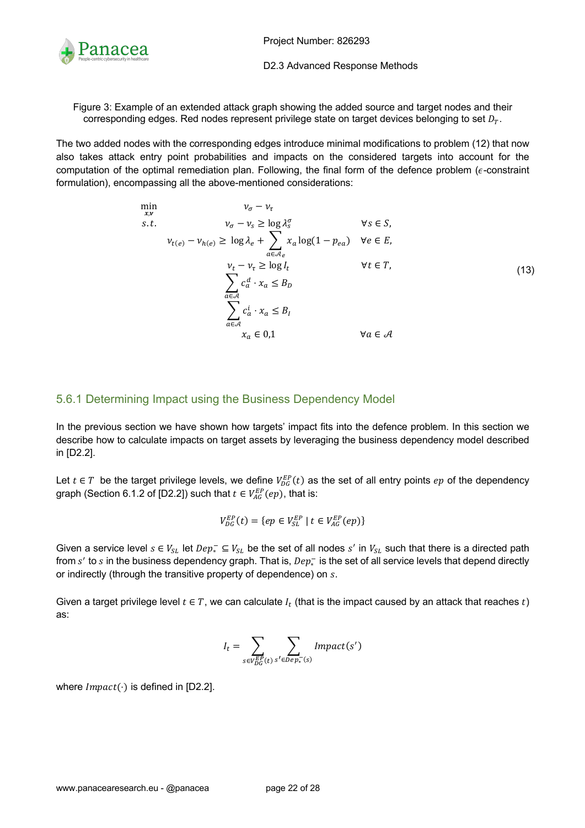

Figure 3: Example of an extended attack graph showing the added source and target nodes and their corresponding edges. Red nodes represent privilege state on target devices belonging to set  $D_T$ .

The two added nodes with the corresponding edges introduce minimal modifications to problem (12) that now also takes attack entry point probabilities and impacts on the considered targets into account for the computation of the optimal remediation plan. Following, the final form of the defence problem ( $\epsilon$ -constraint formulation), encompassing all the above-mentioned considerations:

$$
\min_{x,v} \qquad v_{\sigma} - v_{\tau} \qquad \forall s \in S, s.t. \qquad v_{\sigma} - v_{s} \ge \log \lambda_{s}^{\sigma} \qquad \forall s \in S, \nu_{t(e)} - v_{h(e)} \ge \log \lambda_{e} + \sum_{a \in \mathcal{A}_{e}} x_{a} \log(1 - p_{ea}) \qquad \forall e \in E, \nu_{t} - v_{\tau} \ge \log I_{t} \qquad \forall t \in T, \sum_{a \in \mathcal{A}} c_{a}^{d} \cdot x_{a} \le B_{D} \qquad \forall t \in T, \sum_{a \in \mathcal{A}} c_{a}^{i} \cdot x_{a} \le B_{I} \qquad \forall a \in \mathcal{A}
$$
\n(13)

### 5.6.1 Determining Impact using the Business Dependency Model

In the previous section we have shown how targets' impact fits into the defence problem. In this section we describe how to calculate impacts on target assets by leveraging the business dependency model described in [D2.2].

Let  $t \in T$  be the target privilege levels, we define  $V_{DG}^{EP}(t)$  as the set of all entry points  $ep$  of the dependency graph (Section 6.1.2 of [D2.2]) such that  $t \in V_{AG}^{EP}(ep)$ , that is:

$$
V_{DG}^{EP}(t) = \{ ep \in V_{SL}^{EP} \mid t \in V_{AG}^{EP}(ep) \}
$$

Given a service level  $s \in V_{SL}$  let  $Dep_*^- \subseteq V_{SL}$  be the set of all nodes  $s'$  in  $V_{SL}$  such that there is a directed path from  $s'$  to  $s$  in the business dependency graph. That is,  $Dep_*^-$  is the set of all service levels that depend directly or indirectly (through the transitive property of dependence) on s.

Given a target privilege level  $t \in T$ , we can calculate  $I_t$  (that is the impact caused by an attack that reaches t) as:

$$
I_t = \sum_{s \in V_{DG}^{EP}(t)} \sum_{s' \in Dep_*^-(s)} Impact(s')
$$

where  $Im\phi(t)$  is defined in [D2.2].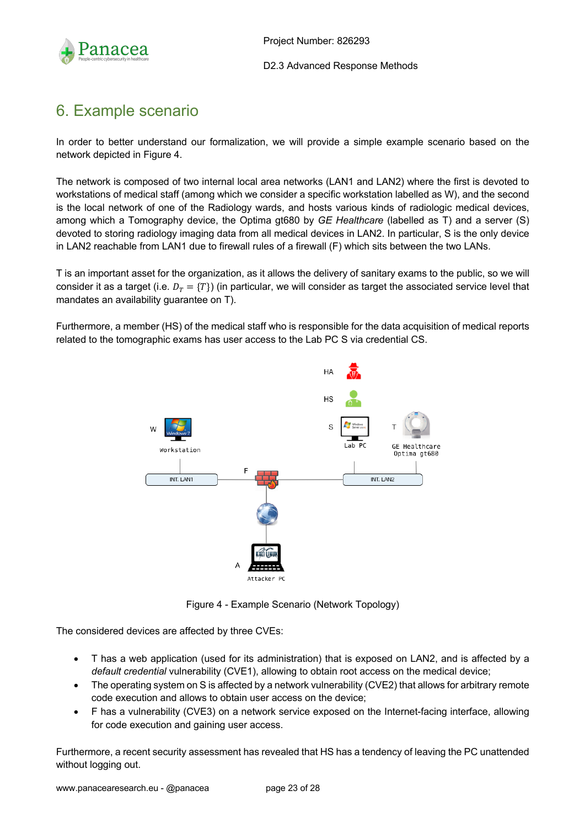

## 6. Example scenario

In order to better understand our formalization, we will provide a simple example scenario based on the network depicted in Figure 4.

The network is composed of two internal local area networks (LAN1 and LAN2) where the first is devoted to workstations of medical staff (among which we consider a specific workstation labelled as W), and the second is the local network of one of the Radiology wards, and hosts various kinds of radiologic medical devices, among which a Tomography device, the Optima gt680 by *GE Healthcare* (labelled as T) and a server (S) devoted to storing radiology imaging data from all medical devices in LAN2. In particular, S is the only device in LAN2 reachable from LAN1 due to firewall rules of a firewall (F) which sits between the two LANs.

T is an important asset for the organization, as it allows the delivery of sanitary exams to the public, so we will consider it as a target (i.e.  $D<sub>T</sub> = {T}$ ) (in particular, we will consider as target the associated service level that mandates an availability guarantee on T).

Furthermore, a member (HS) of the medical staff who is responsible for the data acquisition of medical reports related to the tomographic exams has user access to the Lab PC S via credential CS.



Figure 4 - Example Scenario (Network Topology)

The considered devices are affected by three CVEs:

- T has a web application (used for its administration) that is exposed on LAN2, and is affected by a *default credential* vulnerability (CVE1), allowing to obtain root access on the medical device;
- The operating system on S is affected by a network vulnerability (CVE2) that allows for arbitrary remote code execution and allows to obtain user access on the device;
- F has a vulnerability (CVE3) on a network service exposed on the Internet-facing interface, allowing for code execution and gaining user access.

Furthermore, a recent security assessment has revealed that HS has a tendency of leaving the PC unattended without logging out.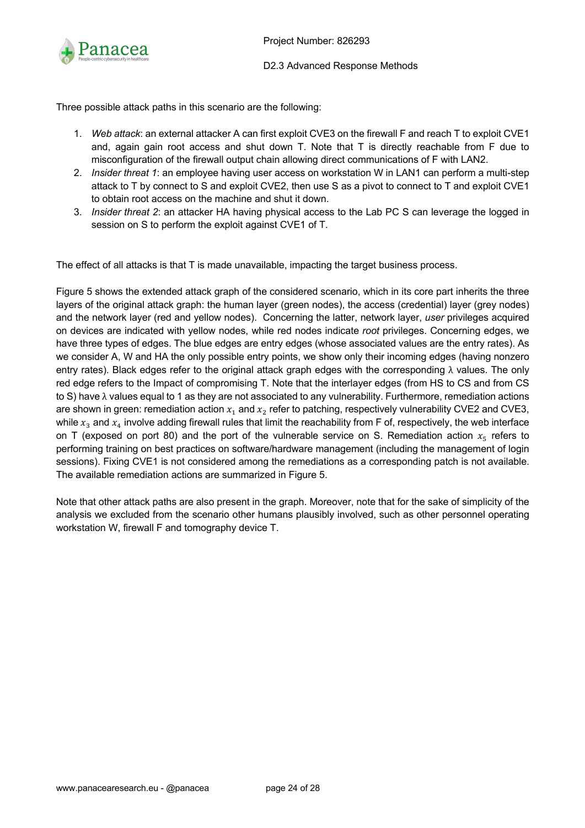

Three possible attack paths in this scenario are the following:

- 1. *Web attack*: an external attacker A can first exploit CVE3 on the firewall F and reach T to exploit CVE1 and, again gain root access and shut down T. Note that T is directly reachable from F due to misconfiguration of the firewall output chain allowing direct communications of F with LAN2.
- 2. *Insider threat 1*: an employee having user access on workstation W in LAN1 can perform a multi-step attack to T by connect to S and exploit CVE2, then use S as a pivot to connect to T and exploit CVE1 to obtain root access on the machine and shut it down.
- 3. *Insider threat 2*: an attacker HA having physical access to the Lab PC S can leverage the logged in session on S to perform the exploit against CVE1 of T.

The effect of all attacks is that T is made unavailable, impacting the target business process.

Figure 5 shows the extended attack graph of the considered scenario, which in its core part inherits the three layers of the original attack graph: the human layer (green nodes), the access (credential) layer (grey nodes) and the network layer (red and yellow nodes). Concerning the latter, network layer, *user* privileges acquired on devices are indicated with yellow nodes, while red nodes indicate *root* privileges. Concerning edges, we have three types of edges. The blue edges are entry edges (whose associated values are the entry rates). As we consider A, W and HA the only possible entry points, we show only their incoming edges (having nonzero entry rates). Black edges refer to the original attack graph edges with the corresponding λ values. The only red edge refers to the Impact of compromising T. Note that the interlayer edges (from HS to CS and from CS to S) have λ values equal to 1 as they are not associated to any vulnerability. Furthermore, remediation actions are shown in green: remediation action  $x_1$  and  $x_2$  refer to patching, respectively vulnerability CVE2 and CVE3, while  $x_3$  and  $x_4$  involve adding firewall rules that limit the reachability from F of, respectively, the web interface on T (exposed on port 80) and the port of the vulnerable service on S. Remediation action  $x<sub>5</sub>$  refers to performing training on best practices on software/hardware management (including the management of login sessions). Fixing CVE1 is not considered among the remediations as a corresponding patch is not available. The available remediation actions are summarized in Figure 5.

Note that other attack paths are also present in the graph. Moreover, note that for the sake of simplicity of the analysis we excluded from the scenario other humans plausibly involved, such as other personnel operating workstation W, firewall F and tomography device T.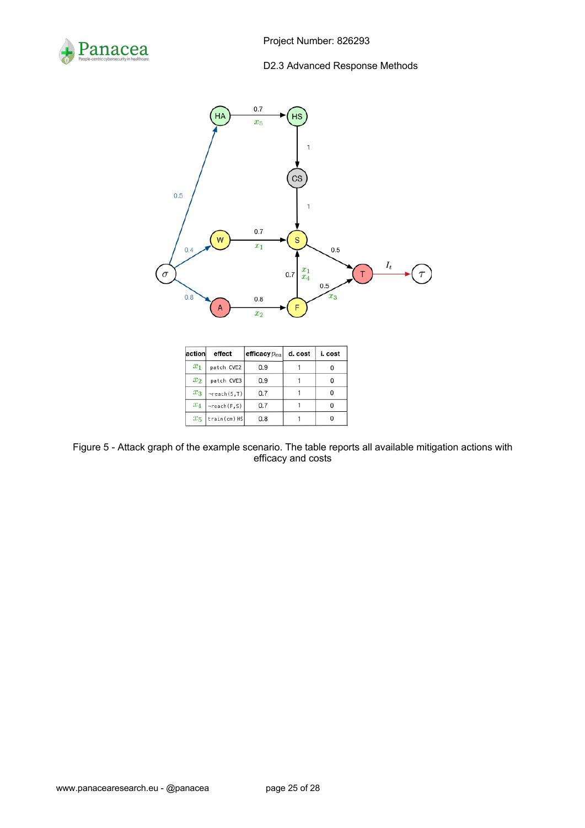



| action   | effect                | efficacy $p_{ea}$ | d. cost | i. cost |
|----------|-----------------------|-------------------|---------|---------|
| $x_1$    | patch CVE2            | 0.9               |         |         |
| $x_2$    | patch CVE3            | 0.9               |         |         |
| $x_3$    | $\neg$ reach $(S, T)$ | 0.7               |         |         |
| $\, x_4$ | $ \neg$ reach(F,S)    | 0.7               |         |         |
| $x_{5}$  | train(cm) HS          | 0.8               |         |         |

Figure 5 - Attack graph of the example scenario. The table reports all available mitigation actions with efficacy and costs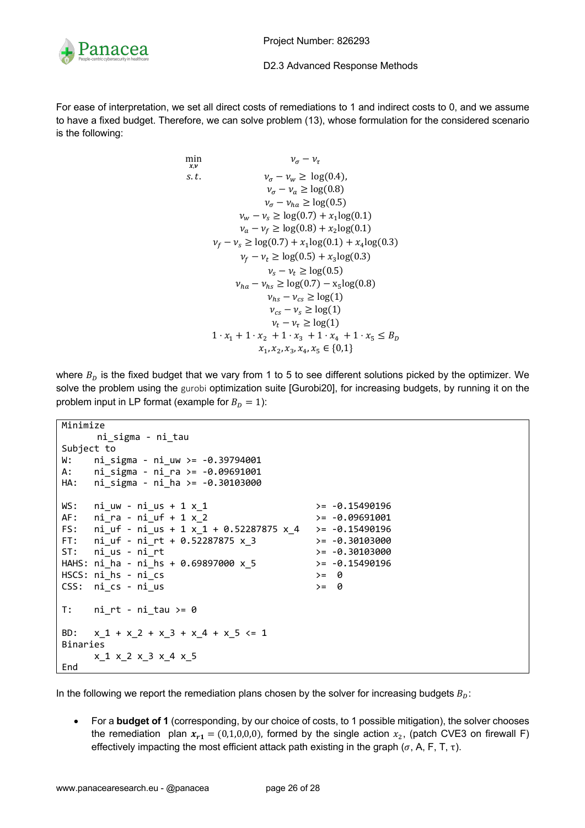

For ease of interpretation, we set all direct costs of remediations to 1 and indirect costs to 0, and we assume to have a fixed budget. Therefore, we can solve problem (13), whose formulation for the considered scenario is the following:

min  
\n
$$
v_{\sigma} - v_{\tau}
$$
  
\ns.t.  
\n $v_{\sigma} - v_w \ge \log(0.4)$ ,  
\n $v_{\sigma} - v_a \ge \log(0.8)$   
\n $v_{\sigma} - v_{ha} \ge \log(0.5)$   
\n $v_w - v_s \ge \log(0.7) + x_1 \log(0.1)$   
\n $v_a - v_f \ge \log(0.8) + x_2 \log(0.1)$   
\n $v_f - v_s \ge \log(0.7) + x_1 \log(0.1) + x_4 \log(0.3)$   
\n $v_f - v_t \ge \log(0.5) + x_3 \log(0.3)$   
\n $v_s - v_t \ge \log(0.5)$   
\n $v_{ha} - v_{hs} \ge \log(0.7) - x_5 \log(0.8)$   
\n $v_{hs} - v_{cs} \ge \log(1)$   
\n $v_{cs} - v_s \ge \log(1)$   
\n $v_t - v_{\tau} \ge \log(1)$   
\n $v_t - v_{\tau} \ge \log(1)$   
\n $1 \cdot x_1 + 1 \cdot x_2 + 1 \cdot x_3 + 1 \cdot x_4 + 1 \cdot x_5 \le B_D$   
\n $x_1, x_2, x_3, x_4, x_5 \in \{0, 1\}$ 

where  $B<sub>D</sub>$  is the fixed budget that we vary from 1 to 5 to see different solutions picked by the optimizer. We solve the problem using the gurobi optimization suite [Gurobi20], for increasing budgets, by running it on the problem input in LP format (example for  $B<sub>D</sub> = 1$ ):

```
Minimize
     ni sigma - ni tau
Subject to
W: ni sigma - ni uw >= -0.39794001
A: ni sigma - ni ra >= -0.09691001
HA: ni_sigma - ni_ha >= -0.30103000
WS: ni_uw - ni_us + 1 x_1 \rightarrow - 0.15490196
AF: ni ra - ni uf + 1 x 2 \rightarrow -0.09691001
FS: ni_uf - ni_us + 1 x_1 + 0.52287875 x_4 >= -0.15490196
FT: ni\_uf - ni\_rt + 0.52287875 x_3 >= -0.30103000<br>ST: ni\_us - ni\_rt >= -0.30103000
ST: ni_is - ni_rtHAHS: ni_ha - ni_hs + 0.69897000 x_5 >= -0.15490196
HSCS: ni_hs - ni_cs >= 0
CSS: ni cs - ni us >= 0
T: ni rt - ni tau \geq 0BD: x_1 + x_2 + x_3 + x_4 + x_5 \le 1Binaries
      x_1 x_2 x_3 x_4 x_5
End
```
In the following we report the remediation plans chosen by the solver for increasing budgets  $B<sub>D</sub>$ :

• For a **budget of 1** (corresponding, by our choice of costs, to 1 possible mitigation), the solver chooses the remediation plan  $x_{r1} = (0,1,0,0,0)$ , formed by the single action  $x_2$ , (patch CVE3 on firewall F) effectively impacting the most efficient attack path existing in the graph ( $\sigma$ , A, F, T,  $\tau$ ).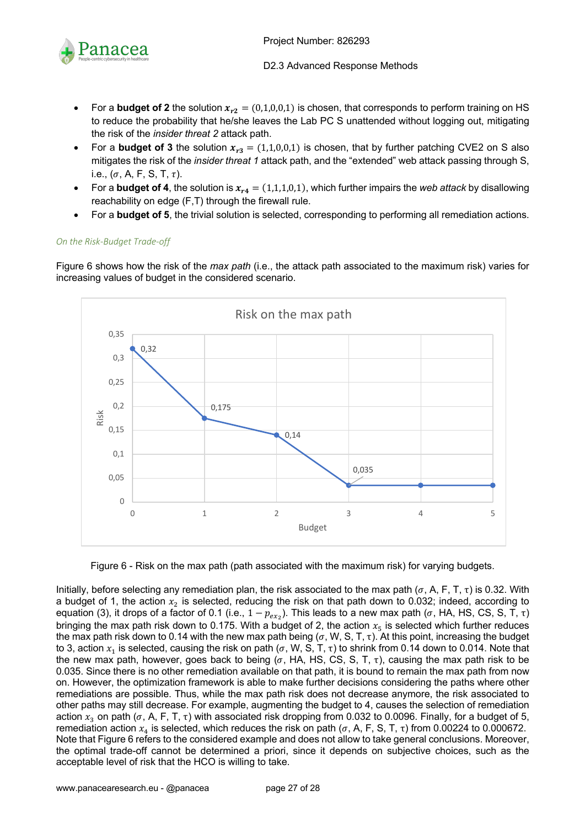

- For a **budget of 2** the solution  $x_{r2} = (0,1,0,0,1)$  is chosen, that corresponds to perform training on HS to reduce the probability that he/she leaves the Lab PC S unattended without logging out, mitigating the risk of the *insider threat 2* attack path.
- For a **budget of 3** the solution  $x_{r3} = (1,1,0,0,1)$  is chosen, that by further patching CVE2 on S also mitigates the risk of the *insider threat 1* attack path, and the "extended" web attack passing through S, i.e.,  $(\sigma, A, F, S, T, \tau)$ .
- For a **budget of 4**, the solution is  $x_{r4} = (1,1,1,0,1)$ , which further impairs the *web attack* by disallowing reachability on edge (F,T) through the firewall rule.
- For a **budget of 5**, the trivial solution is selected, corresponding to performing all remediation actions.

#### *On the Risk-Budget Trade-off*

Figure 6 shows how the risk of the *max path* (i.e., the attack path associated to the maximum risk) varies for increasing values of budget in the considered scenario.



Figure 6 - Risk on the max path (path associated with the maximum risk) for varying budgets.

Initially, before selecting any remediation plan, the risk associated to the max path ( $\sigma$ , A, F, T,  $\tau$ ) is 0.32. With a budget of 1, the action  $x_2$  is selected, reducing the risk on that path down to 0.032; indeed, according to equation (3), it drops of a factor of 0.1 (i.e.,  $1 - p_{ex_2}$ ). This leads to a new max path (σ, HA, HS, CS, S, T, τ) bringing the max path risk down to 0.175. With a budget of 2, the action  $x<sub>5</sub>$  is selected which further reduces the max path risk down to 0.14 with the new max path being ( $\sigma$ , W, S, T,  $\tau$ ). At this point, increasing the budget to 3, action  $x_1$  is selected, causing the risk on path (σ, W, S, T, τ) to shrink from 0.14 down to 0.014. Note that the new max path, however, goes back to being ( $\sigma$ , HA, HS, CS, S, T,  $\tau$ ), causing the max path risk to be 0.035. Since there is no other remediation available on that path, it is bound to remain the max path from now on. However, the optimization framework is able to make further decisions considering the paths where other remediations are possible. Thus, while the max path risk does not decrease anymore, the risk associated to other paths may still decrease. For example, augmenting the budget to 4, causes the selection of remediation action  $x_3$  on path ( $\sigma$ , A, F, T,  $\tau$ ) with associated risk dropping from 0.032 to 0.0096. Finally, for a budget of 5, remediation action  $x_4$  is selected, which reduces the risk on path ( $\sigma$ , A, F, S, T,  $\tau$ ) from 0.00224 to 0.000672. Note that Figure 6 refers to the considered example and does not allow to take general conclusions. Moreover, the optimal trade-off cannot be determined a priori, since it depends on subjective choices, such as the acceptable level of risk that the HCO is willing to take.